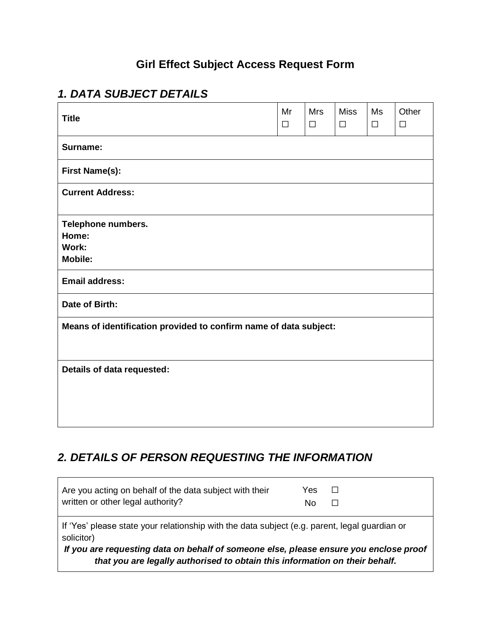## **Girl Effect Subject Access Request Form**

## *1. DATA SUBJECT DETAILS*

| <b>Title</b>                                                      | Mr<br>$\Box$ | <b>Mrs</b><br>$\Box$ | <b>Miss</b><br>$\Box$ | Ms<br>$\Box$ | Other<br>$\Box$ |  |  |  |
|-------------------------------------------------------------------|--------------|----------------------|-----------------------|--------------|-----------------|--|--|--|
| Surname:                                                          |              |                      |                       |              |                 |  |  |  |
| <b>First Name(s):</b>                                             |              |                      |                       |              |                 |  |  |  |
| <b>Current Address:</b>                                           |              |                      |                       |              |                 |  |  |  |
| Telephone numbers.                                                |              |                      |                       |              |                 |  |  |  |
| Home:                                                             |              |                      |                       |              |                 |  |  |  |
| Work:                                                             |              |                      |                       |              |                 |  |  |  |
| <b>Mobile:</b>                                                    |              |                      |                       |              |                 |  |  |  |
| <b>Email address:</b>                                             |              |                      |                       |              |                 |  |  |  |
| Date of Birth:                                                    |              |                      |                       |              |                 |  |  |  |
| Means of identification provided to confirm name of data subject: |              |                      |                       |              |                 |  |  |  |
|                                                                   |              |                      |                       |              |                 |  |  |  |
| Details of data requested:                                        |              |                      |                       |              |                 |  |  |  |
|                                                                   |              |                      |                       |              |                 |  |  |  |
|                                                                   |              |                      |                       |              |                 |  |  |  |
|                                                                   |              |                      |                       |              |                 |  |  |  |
|                                                                   |              |                      |                       |              |                 |  |  |  |

## *2. DETAILS OF PERSON REQUESTING THE INFORMATION*

| Are you acting on behalf of the data subject with their<br>written or other legal authority?                                                                                                                                                                                        | Yes.<br>No |  |  |  |  |  |  |  |
|-------------------------------------------------------------------------------------------------------------------------------------------------------------------------------------------------------------------------------------------------------------------------------------|------------|--|--|--|--|--|--|--|
| If 'Yes' please state your relationship with the data subject (e.g. parent, legal guardian or<br>solicitor)<br>If you are requesting data on behalf of someone else, please ensure you enclose proof<br>that you are legally authorised to obtain this information on their behalf. |            |  |  |  |  |  |  |  |